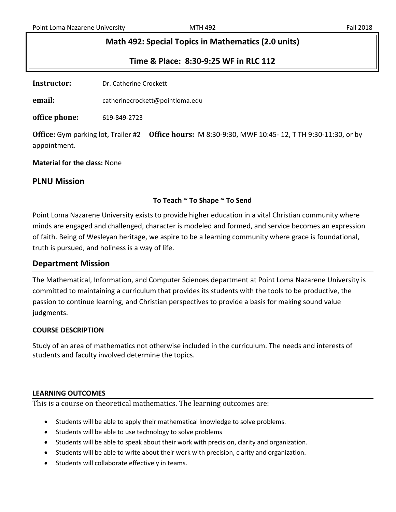## **Math 492: Special Topics in Mathematics (2.0 units)**

**Time & Place: 8:30-9:25 WF in RLC 112**

**Instructor:** Dr. Catherine Crockett

**email:** catherinecrockett@pointloma.edu

**office phone:** 619-849-2723

**Office:** Gym parking lot, Trailer #2 **Office hours:** M 8:30-9:30, MWF 10:45- 12, T TH 9:30-11:30, or by appointment.

**Material for the class:** None

## **PLNU Mission**

### **To Teach ~ To Shape ~ To Send**

Point Loma Nazarene University exists to provide higher education in a vital Christian community where minds are engaged and challenged, character is modeled and formed, and service becomes an expression of faith. Being of Wesleyan heritage, we aspire to be a learning community where grace is foundational, truth is pursued, and holiness is a way of life.

### **Department Mission**

The Mathematical, Information, and Computer Sciences department at Point Loma Nazarene University is committed to maintaining a curriculum that provides its students with the tools to be productive, the passion to continue learning, and Christian perspectives to provide a basis for making sound value judgments.

### **COURSE DESCRIPTION**

Study of an area of mathematics not otherwise included in the curriculum. The needs and interests of students and faculty involved determine the topics.

#### **LEARNING OUTCOMES**

This is a course on theoretical mathematics. The learning outcomes are:

- Students will be able to apply their mathematical knowledge to solve problems.
- Students will be able to use technology to solve problems
- Students will be able to speak about their work with precision, clarity and organization.
- Students will be able to write about their work with precision, clarity and organization.
- Students will collaborate effectively in teams.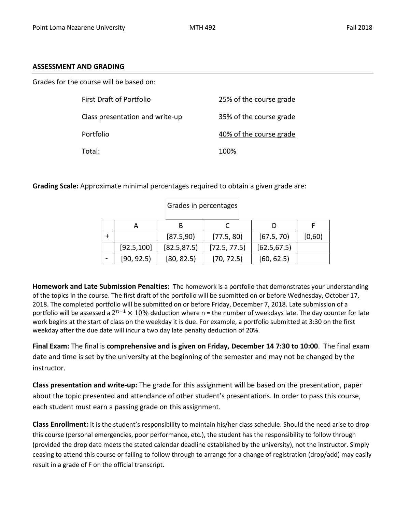#### **ASSESSMENT AND GRADING**

Grades for the course will be based on:

| First Draft of Portfolio        | 25% of the course grade |
|---------------------------------|-------------------------|
| Class presentation and write-up | 35% of the course grade |
| Portfolio                       | 40% of the course grade |
| Total:                          | 100%                    |

**Grading Scale:** Approximate minimal percentages required to obtain a given grade are:

|             | в            |              |              |        |
|-------------|--------------|--------------|--------------|--------|
|             | [87.5,90]    | [77.5, 80]   | [67.5, 70]   | [0,60) |
| [92.5, 100] | [82.5, 87.5] | [72.5, 77.5] | [62.5, 67.5] |        |
| [90, 92.5]  | [80, 82.5]   | [70, 72.5]   | [60, 62.5]   |        |

Grades in percentages

**Homework and Late Submission Penalties:** The homework is a portfolio that demonstrates your understanding of the topics in the course. The first draft of the portfolio will be submitted on or before Wednesday, October 17, 2018. The completed portfolio will be submitted on or before Friday, December 7, 2018. Late submission of a portfolio will be assessed a  $2^{n-1} \times 10\%$  deduction where n = the number of weekdays late. The day counter for late work begins at the start of class on the weekday it is due. For example, a portfolio submitted at 3:30 on the first weekday after the due date will incur a two day late penalty deduction of 20%.

**Final Exam:** The final is **comprehensive and is given on Friday, December 14 7:30 to 10:00**. The final exam date and time is set by the university at the beginning of the semester and may not be changed by the instructor.

**Class presentation and write-up:** The grade for this assignment will be based on the presentation, paper about the topic presented and attendance of other student's presentations. In order to pass this course, each student must earn a passing grade on this assignment.

**Class Enrollment:** It is the student's responsibility to maintain his/her class schedule. Should the need arise to drop this course (personal emergencies, poor performance, etc.), the student has the responsibility to follow through (provided the drop date meets the stated calendar deadline established by the university), not the instructor. Simply ceasing to attend this course or failing to follow through to arrange for a change of registration (drop/add) may easily result in a grade of F on the official transcript.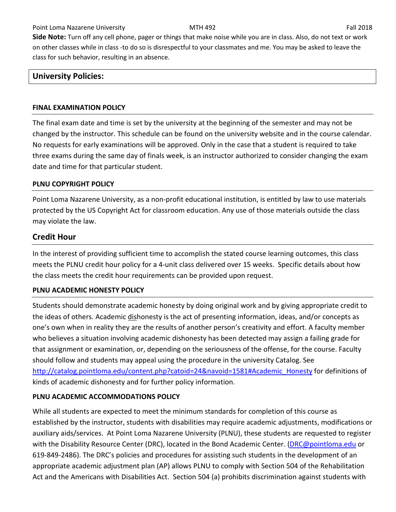**Side Note:** Turn off any cell phone, pager or things that make noise while you are in class. Also, do not text or work on other classes while in class -to do so is disrespectful to your classmates and me. You may be asked to leave the class for such behavior, resulting in an absence.

## **University Policies:**

#### **FINAL EXAMINATION POLICY**

The final exam date and time is set by the university at the beginning of the semester and may not be changed by the instructor. This schedule can be found on the university website and in the course calendar. No requests for early examinations will be approved. Only in the case that a student is required to take three exams during the same day of finals week, is an instructor authorized to consider changing the exam date and time for that particular student.

### **PLNU COPYRIGHT POLICY**

Point Loma Nazarene University, as a non-profit educational institution, is entitled by law to use materials protected by the US Copyright Act for classroom education. Any use of those materials outside the class may violate the law.

## **Credit Hour**

In the interest of providing sufficient time to accomplish the stated course learning outcomes, this class meets the PLNU credit hour policy for a 4-unit class delivered over 15 weeks. Specific details about how the class meets the credit hour requirements can be provided upon request.

### **PLNU ACADEMIC HONESTY POLICY**

Students should demonstrate academic honesty by doing original work and by giving appropriate credit to the ideas of others. Academic dishonesty is the act of presenting information, ideas, and/or concepts as one's own when in reality they are the results of another person's creativity and effort. A faculty member who believes a situation involving academic dishonesty has been detected may assign a failing grade for that assignment or examination, or, depending on the seriousness of the offense, for the course. Faculty should follow and students may appeal using the procedure in the university Catalog. See [http://catalog.pointloma.edu/content.php?catoid=24&navoid=1581#Academic\\_Honesty](http://catalog.pointloma.edu/content.php?catoid=24&navoid=1581#Academic_Honesty) for definitions of kinds of academic dishonesty and for further policy information.

### **PLNU ACADEMIC ACCOMMODATIONS POLICY**

While all students are expected to meet the minimum standards for completion of this course as established by the instructor, students with disabilities may require academic adjustments, modifications or auxiliary aids/services. At Point Loma Nazarene University (PLNU), these students are requested to register with the Disability Resource Center (DRC), located in the Bond Academic Center. [\(DRC@pointloma.edu](mailto:DRC@pointloma.edu) or 619-849-2486). The DRC's policies and procedures for assisting such students in the development of an appropriate academic adjustment plan (AP) allows PLNU to comply with Section 504 of the Rehabilitation Act and the Americans with Disabilities Act. Section 504 (a) prohibits discrimination against students with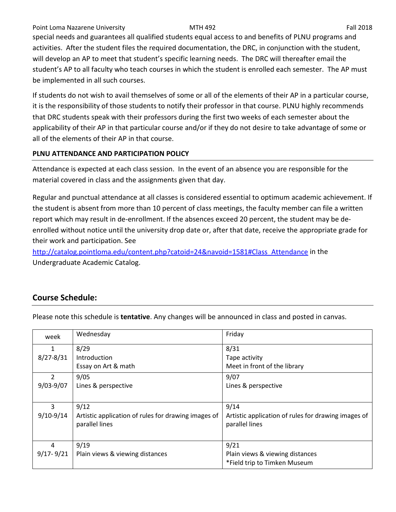#### Point Loma Nazarene University **MTH 492** Fall 2018

special needs and guarantees all qualified students equal access to and benefits of PLNU programs and activities. After the student files the required documentation, the DRC, in conjunction with the student, will develop an AP to meet that student's specific learning needs. The DRC will thereafter email the student's AP to all faculty who teach courses in which the student is enrolled each semester. The AP must be implemented in all such courses.

If students do not wish to avail themselves of some or all of the elements of their AP in a particular course, it is the responsibility of those students to notify their professor in that course. PLNU highly recommends that DRC students speak with their professors during the first two weeks of each semester about the applicability of their AP in that particular course and/or if they do not desire to take advantage of some or all of the elements of their AP in that course.

### **PLNU ATTENDANCE AND PARTICIPATION POLICY**

Attendance is expected at each class session. In the event of an absence you are responsible for the material covered in class and the assignments given that day.

Regular and punctual attendance at all classes is considered essential to optimum academic achievement. If the student is absent from more than 10 percent of class meetings, the faculty member can file a written report which may result in de-enrollment. If the absences exceed 20 percent, the student may be deenrolled without notice until the university drop date or, after that date, receive the appropriate grade for their work and participation. See

[http://catalog.pointloma.edu/content.php?catoid=24&navoid=1581#Class\\_Attendance](http://catalog.pointloma.edu/content.php?catoid=24&navoid=1581#Class_Attendance) in the Undergraduate Academic Catalog.

# **Course Schedule:**

| Please note this schedule is <b>tentative</b> . Any changes will be announced in class and posted in canvas. |
|--------------------------------------------------------------------------------------------------------------|
|--------------------------------------------------------------------------------------------------------------|

| week          | Wednesday                                           | Friday                                              |
|---------------|-----------------------------------------------------|-----------------------------------------------------|
| 1             | 8/29                                                | 8/31                                                |
| $8/27 - 8/31$ | Introduction                                        | Tape activity                                       |
|               | Essay on Art & math                                 | Meet in front of the library                        |
| $\mathcal{P}$ | 9/05                                                | 9/07                                                |
| $9/03 - 9/07$ | Lines & perspective                                 | Lines & perspective                                 |
|               |                                                     |                                                     |
| 3             | 9/12                                                | 9/14                                                |
| $9/10-9/14$   | Artistic application of rules for drawing images of | Artistic application of rules for drawing images of |
|               | parallel lines                                      | parallel lines                                      |
|               |                                                     |                                                     |
| 4             | 9/19                                                | 9/21                                                |
| $9/17 - 9/21$ | Plain views & viewing distances                     | Plain views & viewing distances                     |
|               |                                                     | *Field trip to Timken Museum                        |